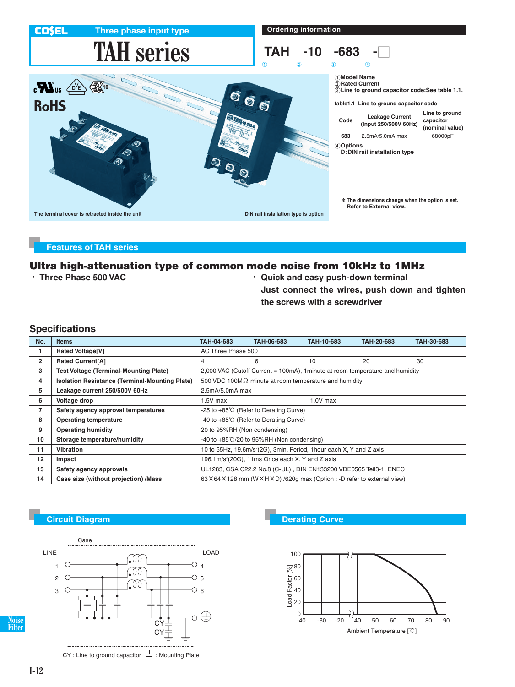| <b>COSEL</b><br>Three phase input type                                         | <b>Ordering information</b>                            |                                            |                                                                                                                |                                                |  |
|--------------------------------------------------------------------------------|--------------------------------------------------------|--------------------------------------------|----------------------------------------------------------------------------------------------------------------|------------------------------------------------|--|
| <b>TAH series</b>                                                              | <b>TAH</b><br>$-10$<br>$\overline{1}$<br>$\circled{2}$ | $-683$<br>$\circled{3}$                    | 4                                                                                                              |                                                |  |
| $\mathbb{R}^{40}$<br>$\boldsymbol{u}$<br>$\bullet$<br>$\bullet$<br><b>RoHS</b> | $\overline{\bm{\odot}}$                                | 1) Model Name                              | 2 Rated Current<br>3) Line to ground capacitor code: See table 1.1.<br>table 1.1 Line to ground capacitor code |                                                |  |
| <b>ETAIL IDENSA</b>                                                            |                                                        | Code                                       | <b>Leakage Current</b><br>(Input 250/500V 60Hz)                                                                | Line to ground<br>capacitor<br>(nominal value) |  |
|                                                                                |                                                        | 683                                        | 2.5mA/5.0mA max                                                                                                | 68000pF                                        |  |
| $\bullet$<br>↔                                                                 |                                                        | 4 Options<br>D: DIN rail installation type |                                                                                                                |                                                |  |
|                                                                                |                                                        |                                            | * The dimensions change when the option is set.<br>Refer to External view.                                     |                                                |  |
| The terminal cover is retracted inside the unit                                | DIN rail installation type is option                   |                                            |                                                                                                                |                                                |  |

### **Features of TAH series**

# **Ultra high-attenuation type of common mode noise from 10kHz to 1MHz**

- 
- - **Three Phase 500 VAC** - **Quick and easy push-down terminal Just connect the wires, push down and tighten the screws with a screwdriver**

## **Specifications**

| No.            | <b>Items</b>                                          | TAH-04-683                                                                      | TAH-06-683 | TAH-10-683 | TAH-20-683 | TAH-30-683 |  |  |
|----------------|-------------------------------------------------------|---------------------------------------------------------------------------------|------------|------------|------------|------------|--|--|
|                | <b>Rated Voltage[V]</b>                               | AC Three Phase 500                                                              |            |            |            |            |  |  |
| $\overline{2}$ | <b>Rated Current[A]</b>                               | 4                                                                               | 6          | 10         | 20         | 30         |  |  |
| 3              | <b>Test Voltage (Terminal-Mounting Plate)</b>         | 2,000 VAC (Cutoff Current = 100mA), 1 minute at room temperature and humidity   |            |            |            |            |  |  |
| 4              | <b>Isolation Resistance (Terminal-Mounting Plate)</b> | 500 VDC 100M $\Omega$ minute at room temperature and humidity                   |            |            |            |            |  |  |
| 5              | Leakage current 250/500V 60Hz                         | 2.5mA/5.0mA max                                                                 |            |            |            |            |  |  |
| 6              | Voltage drop                                          | 1.5V max                                                                        |            | $1.0V$ max |            |            |  |  |
| 7              | Safety agency approval temperatures                   | -25 to +85°C (Refer to Derating Curve)                                          |            |            |            |            |  |  |
| 8              | <b>Operating temperature</b>                          | -40 to +85°C (Refer to Derating Curve)                                          |            |            |            |            |  |  |
| 9              | <b>Operating humidity</b>                             | 20 to 95%RH (Non condensing)                                                    |            |            |            |            |  |  |
| 10             | Storage temperature/humidity                          | -40 to $+85^{\circ}$ C/20 to 95%RH (Non condensing)                             |            |            |            |            |  |  |
| 11             | <b>Vibration</b>                                      | 10 to 55Hz, 19.6m/s <sup>2</sup> (2G), 3min. Period, 1hour each X, Y and Z axis |            |            |            |            |  |  |
| 12             | Impact                                                | 196.1m/s <sup>2</sup> (20G), 11ms Once each X, Y and Z axis                     |            |            |            |            |  |  |
| 13             | Safety agency approvals                               | UL1283, CSA C22.2 No.8 (C-UL), DIN EN133200 VDE0565 Teil3-1, ENEC               |            |            |            |            |  |  |
| 14             | Case size (without projection) /Mass                  | 63X64X128 mm (WXHXD) /620g max (Option : -D refer to external view)             |            |            |            |            |  |  |



**Circuit Diagram Development Curve Derating Curve** 



**Noise Filter**

CY : Line to ground capacitor  $\equiv$  : Mounting Plate